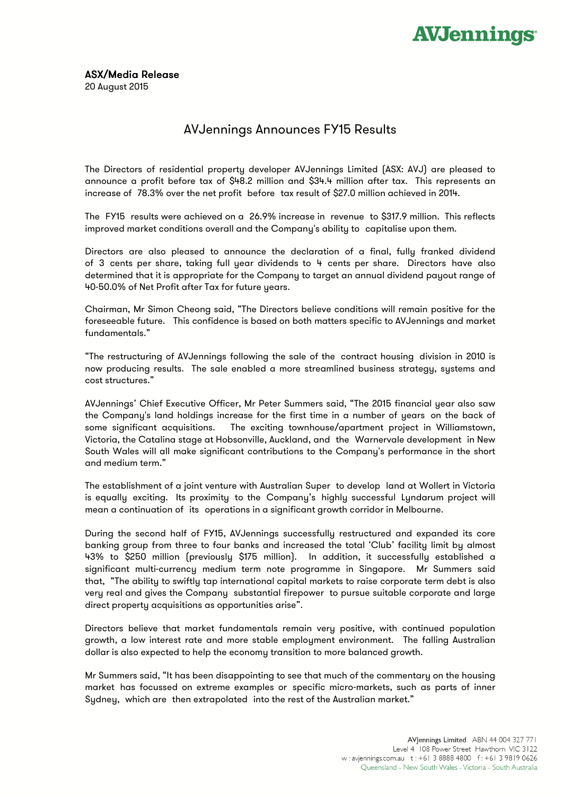

ASX/Media Release 20 August 2015

## AVJennings Announces FY15 Results

The Directors of residential property developer AVJennings Limited (ASX: AVJ) are pleased to announce a profit before tax of \$48.2 million and \$34.4 million after tax. This represents an increase of 78.3% over the net profit before tax result of \$27.0 million achieved in 2014.

The FY15 results were achieved on a 26.9% increase in revenue to \$317.9 million. This reflects improved market conditions overall and the Company's ability to capitalise upon them.

Directors are also pleased to announce the declaration of a final, fully franked dividend of 3 cents per share, taking full year dividends to 4 cents per share. Directors have also determined that it is appropriate for the Company to target an annual dividend payout range of 40-50.0% of Net Profit after Tax for future years.

Chairman, Mr Simon Cheong said, "The Directors believe conditions will remain positive for the foreseeable future. This confidence is based on both matters specific to AVJennings and market fundamentals."

"The restructuring of AVJennings following the sale of the contract housing division in 2010 is now producing results. The sale enabled a more streamlined business strategy, systems and cost structures."

AVJennings' Chief Executive Officer, Mr Peter Summers said, "The 2015 financial year also saw the Company's land holdings increase for the first time in a number of years on the back of some significant acquisitions. The exciting townhouse/apartment project in Williamstown, Victoria, the Catalina stage at Hobsonville, Auckland, and the Warnervale development in New South Wales will all make significant contributions to the Company's performance in the short and medium term."

The establishment of a joint venture with Australian Super to develop land at Wollert in Victoria is equally exciting. Its proximity to the Company's highly successful Lyndarum project will mean a continuation of its operations in a significant growth corridor in Melbourne.

During the second half of FY15, AVJennings successfully restructured and expanded its core banking group from three to four banks and increased the total 'Club' facility limit by almost 43% to \$250 million (previously \$175 million). In addition, it successfully established a significant multi-currency medium term note programme in Singapore. Mr Summers said that, "The ability to swiftly tap international capital markets to raise corporate term debt is also very real and gives the Company substantial firepower to pursue suitable corporate and large direct property acquisitions as opportunities arise".

Directors believe that market fundamentals remain very positive, with continued population growth, a low interest rate and more stable employment environment. The falling Australian dollar is also expected to help the economy transition to more balanced growth.

Mr Summers said, "It has been disappointing to see that much of the commentary on the housing market has focussed on extreme examples or specific micro-markets, such as parts of inner Sydney, which are then extrapolated into the rest of the Australian market."